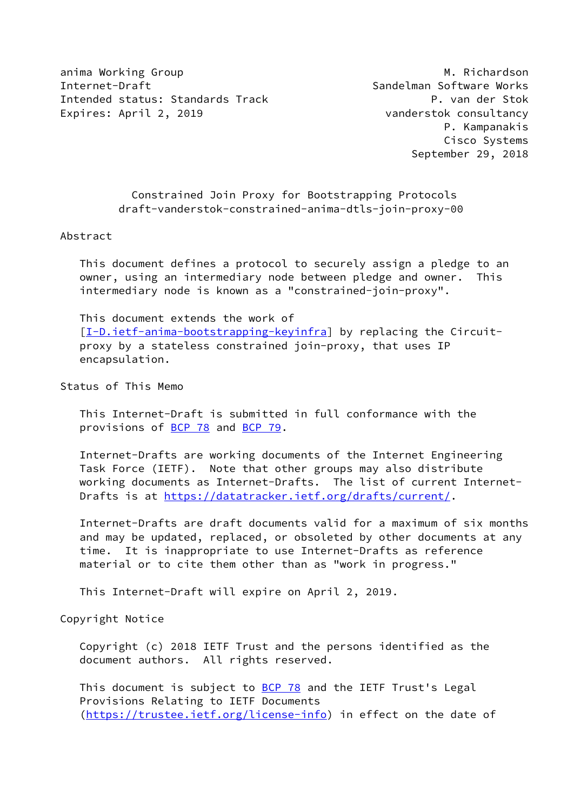anima Working Group **M. Richardson** Internet-Draft Sandelman Software Works Intended status: Standards Track P. van der Stok Expires: April 2, 2019 **vanderstok consultancy** 

 Constrained Join Proxy for Bootstrapping Protocols draft-vanderstok-constrained-anima-dtls-join-proxy-00

## Abstract

 This document defines a protocol to securely assign a pledge to an owner, using an intermediary node between pledge and owner. This intermediary node is known as a "constrained-join-proxy".

 This document extends the work of [\[I-D.ietf-anima-bootstrapping-keyinfra](#page-7-0)] by replacing the Circuit proxy by a stateless constrained join-proxy, that uses IP encapsulation.

Status of This Memo

 This Internet-Draft is submitted in full conformance with the provisions of [BCP 78](https://datatracker.ietf.org/doc/pdf/bcp78) and [BCP 79](https://datatracker.ietf.org/doc/pdf/bcp79).

 Internet-Drafts are working documents of the Internet Engineering Task Force (IETF). Note that other groups may also distribute working documents as Internet-Drafts. The list of current Internet- Drafts is at<https://datatracker.ietf.org/drafts/current/>.

 Internet-Drafts are draft documents valid for a maximum of six months and may be updated, replaced, or obsoleted by other documents at any time. It is inappropriate to use Internet-Drafts as reference material or to cite them other than as "work in progress."

This Internet-Draft will expire on April 2, 2019.

Copyright Notice

 Copyright (c) 2018 IETF Trust and the persons identified as the document authors. All rights reserved.

This document is subject to **[BCP 78](https://datatracker.ietf.org/doc/pdf/bcp78)** and the IETF Trust's Legal Provisions Relating to IETF Documents [\(https://trustee.ietf.org/license-info](https://trustee.ietf.org/license-info)) in effect on the date of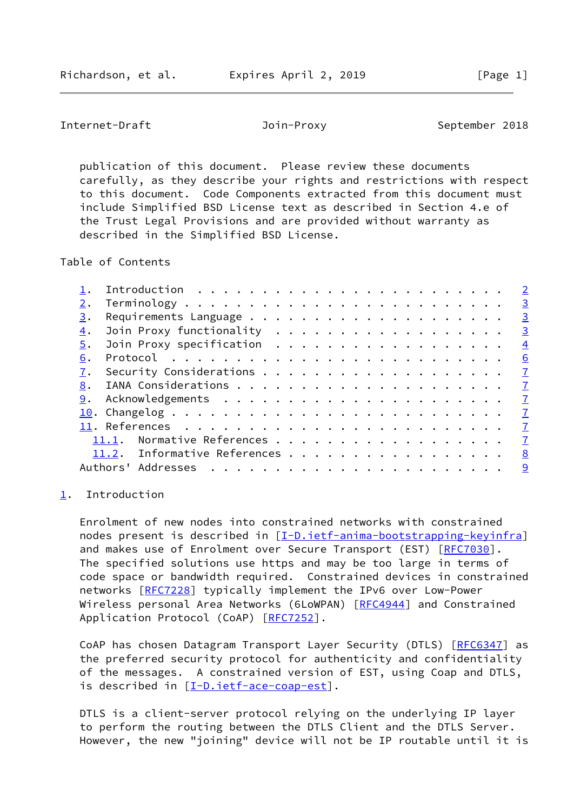<span id="page-1-1"></span>Internet-Draft **Internet-Draft** Join-Proxy September 2018

 publication of this document. Please review these documents carefully, as they describe your rights and restrictions with respect to this document. Code Components extracted from this document must include Simplified BSD License text as described in Section 4.e of the Trust Legal Provisions and are provided without warranty as described in the Simplified BSD License.

Table of Contents

|    |                                                                           |  |  |  |  |  |  |  |  | $\overline{2}$          |
|----|---------------------------------------------------------------------------|--|--|--|--|--|--|--|--|-------------------------|
|    |                                                                           |  |  |  |  |  |  |  |  | $\overline{3}$          |
| 3. |                                                                           |  |  |  |  |  |  |  |  | $\overline{3}$          |
| 4. |                                                                           |  |  |  |  |  |  |  |  | $\overline{\mathbf{3}}$ |
| 5. | Join Proxy specification                                                  |  |  |  |  |  |  |  |  | $\overline{4}$          |
| 6. | Protocol $\ldots \ldots \ldots \ldots \ldots \ldots \ldots \ldots \ldots$ |  |  |  |  |  |  |  |  | 6                       |
| 7. |                                                                           |  |  |  |  |  |  |  |  | $\mathbf{Z}$            |
| 8. |                                                                           |  |  |  |  |  |  |  |  | $\mathbf{Z}$            |
| 9. |                                                                           |  |  |  |  |  |  |  |  | $\mathbf{Z}$            |
|    |                                                                           |  |  |  |  |  |  |  |  | $\overline{1}$          |
|    |                                                                           |  |  |  |  |  |  |  |  | $\mathbf{Z}$            |
|    | Normative References<br>11.1.                                             |  |  |  |  |  |  |  |  | $\mathcal{I}$           |
|    | 11.2. Informative References                                              |  |  |  |  |  |  |  |  | 8                       |
|    | Authors' Addresses                                                        |  |  |  |  |  |  |  |  | 9                       |
|    |                                                                           |  |  |  |  |  |  |  |  |                         |

## <span id="page-1-0"></span>[1](#page-1-0). Introduction

 Enrolment of new nodes into constrained networks with constrained nodes present is described in [[I-D.ietf-anima-bootstrapping-keyinfra\]](#page-7-0) and makes use of Enrolment over Secure Transport (EST) [\[RFC7030](https://datatracker.ietf.org/doc/pdf/rfc7030)]. The specified solutions use https and may be too large in terms of code space or bandwidth required. Constrained devices in constrained networks [\[RFC7228](https://datatracker.ietf.org/doc/pdf/rfc7228)] typically implement the IPv6 over Low-Power Wireless personal Area Networks (6LoWPAN) [[RFC4944](https://datatracker.ietf.org/doc/pdf/rfc4944)] and Constrained Application Protocol (CoAP) [\[RFC7252](https://datatracker.ietf.org/doc/pdf/rfc7252)].

CoAP has chosen Datagram Transport Layer Security (DTLS) [\[RFC6347](https://datatracker.ietf.org/doc/pdf/rfc6347)] as the preferred security protocol for authenticity and confidentiality of the messages. A constrained version of EST, using Coap and DTLS, is described in [\[I-D.ietf-ace-coap-est](#page-7-6)].

 DTLS is a client-server protocol relying on the underlying IP layer to perform the routing between the DTLS Client and the DTLS Server. However, the new "joining" device will not be IP routable until it is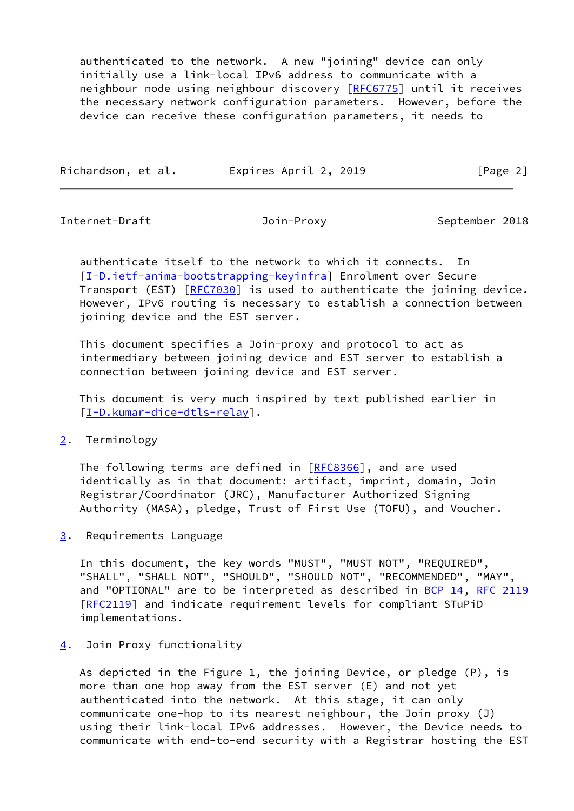authenticated to the network. A new "joining" device can only initially use a link-local IPv6 address to communicate with a neighbour node using neighbour discovery [\[RFC6775](https://datatracker.ietf.org/doc/pdf/rfc6775)] until it receives the necessary network configuration parameters. However, before the device can receive these configuration parameters, it needs to

| Richardson, et al. | Expires April 2, 2019 |          |
|--------------------|-----------------------|----------|
|                    |                       | [Page 2] |

<span id="page-2-1"></span>Internet-Draft Join-Proxy September 2018

 authenticate itself to the network to which it connects. In [\[I-D.ietf-anima-bootstrapping-keyinfra](#page-7-0)] Enrolment over Secure Transport (EST) [\[RFC7030](https://datatracker.ietf.org/doc/pdf/rfc7030)] is used to authenticate the joining device. However, IPv6 routing is necessary to establish a connection between joining device and the EST server.

 This document specifies a Join-proxy and protocol to act as intermediary between joining device and EST server to establish a connection between joining device and EST server.

 This document is very much inspired by text published earlier in [\[I-D.kumar-dice-dtls-relay](#page-9-1)].

<span id="page-2-0"></span>[2](#page-2-0). Terminology

The following terms are defined in [[RFC8366\]](https://datatracker.ietf.org/doc/pdf/rfc8366), and are used identically as in that document: artifact, imprint, domain, Join Registrar/Coordinator (JRC), Manufacturer Authorized Signing Authority (MASA), pledge, Trust of First Use (TOFU), and Voucher.

<span id="page-2-2"></span>[3](#page-2-2). Requirements Language

 In this document, the key words "MUST", "MUST NOT", "REQUIRED", "SHALL", "SHALL NOT", "SHOULD", "SHOULD NOT", "RECOMMENDED", "MAY", and "OPTIONAL" are to be interpreted as described in [BCP 14](https://datatracker.ietf.org/doc/pdf/bcp14), [RFC 2119](https://datatracker.ietf.org/doc/pdf/rfc2119) [\[RFC2119](https://datatracker.ietf.org/doc/pdf/rfc2119)] and indicate requirement levels for compliant STuPiD implementations.

<span id="page-2-3"></span>[4](#page-2-3). Join Proxy functionality

 As depicted in the Figure 1, the joining Device, or pledge (P), is more than one hop away from the EST server (E) and not yet authenticated into the network. At this stage, it can only communicate one-hop to its nearest neighbour, the Join proxy (J) using their link-local IPv6 addresses. However, the Device needs to communicate with end-to-end security with a Registrar hosting the EST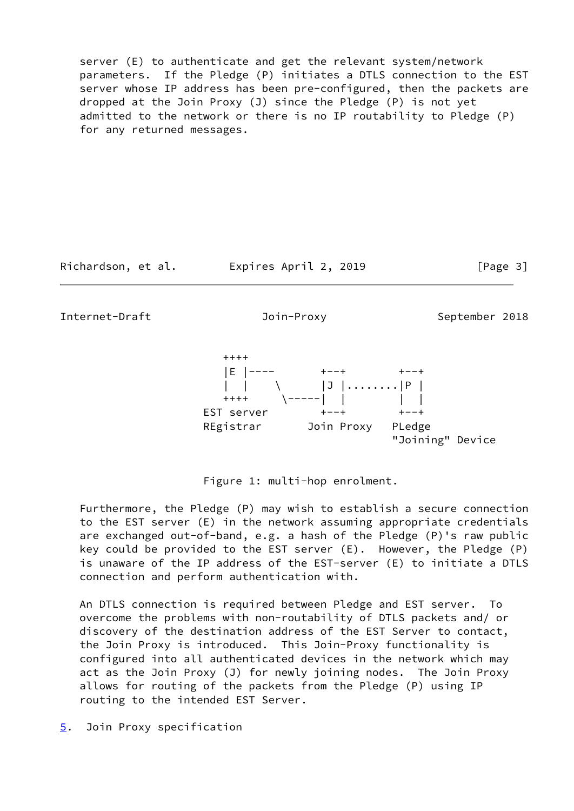server (E) to authenticate and get the relevant system/network parameters. If the Pledge (P) initiates a DTLS connection to the EST server whose IP address has been pre-configured, then the packets are dropped at the Join Proxy (J) since the Pledge (P) is not yet admitted to the network or there is no IP routability to Pledge (P) for any returned messages.

Richardson, et al. Expires April 2, 2019 [Page 3]

<span id="page-3-1"></span>Internet-Draft Join-Proxy September 2018

 |E |---- +--+ +--+ | | | \ | | | | .........|P |  $++++$   $\qquad$   $\qquad$   $\qquad$   $\qquad$   $\qquad$   $\qquad$   $\qquad$   $\qquad$   $\qquad$   $\qquad$   $\qquad$   $\qquad$   $\qquad$   $\qquad$   $\qquad$   $\qquad$   $\qquad$   $\qquad$   $\qquad$   $\qquad$   $\qquad$   $\qquad$   $\qquad$   $\qquad$   $\qquad$   $\qquad$   $\qquad$   $\qquad$   $\qquad$   $\qquad$   $\qquad$   $\qquad$   $\qquad$   $\qquad$   $\qquad$   $\qquad$  EST server +--+ +--+ REgistrar Join Proxy PLedge "Joining" Device

Figure 1: multi-hop enrolment.

 Furthermore, the Pledge (P) may wish to establish a secure connection to the EST server (E) in the network assuming appropriate credentials are exchanged out-of-band, e.g. a hash of the Pledge (P)'s raw public key could be provided to the EST server (E). However, the Pledge (P) is unaware of the IP address of the EST-server (E) to initiate a DTLS connection and perform authentication with.

 An DTLS connection is required between Pledge and EST server. To overcome the problems with non-routability of DTLS packets and/ or discovery of the destination address of the EST Server to contact, the Join Proxy is introduced. This Join-Proxy functionality is configured into all authenticated devices in the network which may act as the Join Proxy (J) for newly joining nodes. The Join Proxy allows for routing of the packets from the Pledge (P) using IP routing to the intended EST Server.

<span id="page-3-0"></span>[5](#page-3-0). Join Proxy specification

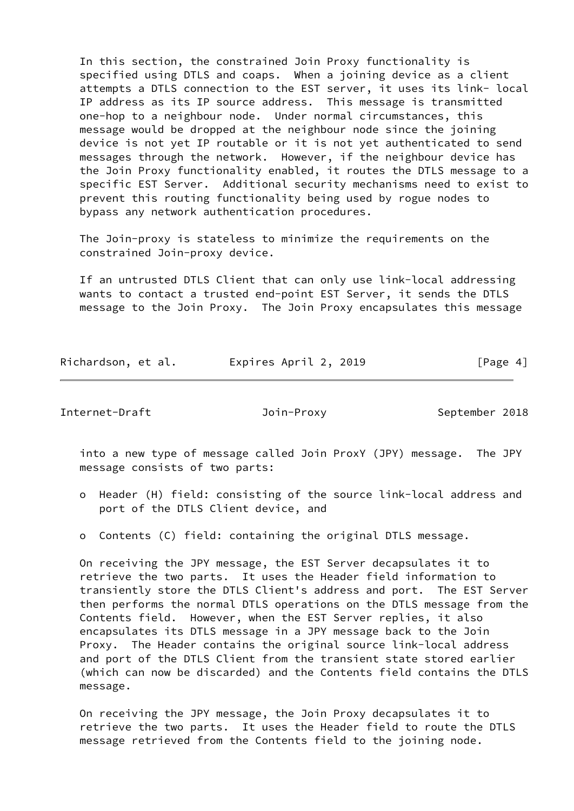In this section, the constrained Join Proxy functionality is specified using DTLS and coaps. When a joining device as a client attempts a DTLS connection to the EST server, it uses its link- local IP address as its IP source address. This message is transmitted one-hop to a neighbour node. Under normal circumstances, this message would be dropped at the neighbour node since the joining device is not yet IP routable or it is not yet authenticated to send messages through the network. However, if the neighbour device has the Join Proxy functionality enabled, it routes the DTLS message to a specific EST Server. Additional security mechanisms need to exist to prevent this routing functionality being used by rogue nodes to bypass any network authentication procedures.

 The Join-proxy is stateless to minimize the requirements on the constrained Join-proxy device.

 If an untrusted DTLS Client that can only use link-local addressing wants to contact a trusted end-point EST Server, it sends the DTLS message to the Join Proxy. The Join Proxy encapsulates this message

|  | Richardson, et al. | Expires April 2, 2019 | [Page 4] |
|--|--------------------|-----------------------|----------|
|--|--------------------|-----------------------|----------|

Internet-Draft Join-Proxy September 2018

 into a new type of message called Join ProxY (JPY) message. The JPY message consists of two parts:

- o Header (H) field: consisting of the source link-local address and port of the DTLS Client device, and
- o Contents (C) field: containing the original DTLS message.

 On receiving the JPY message, the EST Server decapsulates it to retrieve the two parts. It uses the Header field information to transiently store the DTLS Client's address and port. The EST Server then performs the normal DTLS operations on the DTLS message from the Contents field. However, when the EST Server replies, it also encapsulates its DTLS message in a JPY message back to the Join Proxy. The Header contains the original source link-local address and port of the DTLS Client from the transient state stored earlier (which can now be discarded) and the Contents field contains the DTLS message.

 On receiving the JPY message, the Join Proxy decapsulates it to retrieve the two parts. It uses the Header field to route the DTLS message retrieved from the Contents field to the joining node.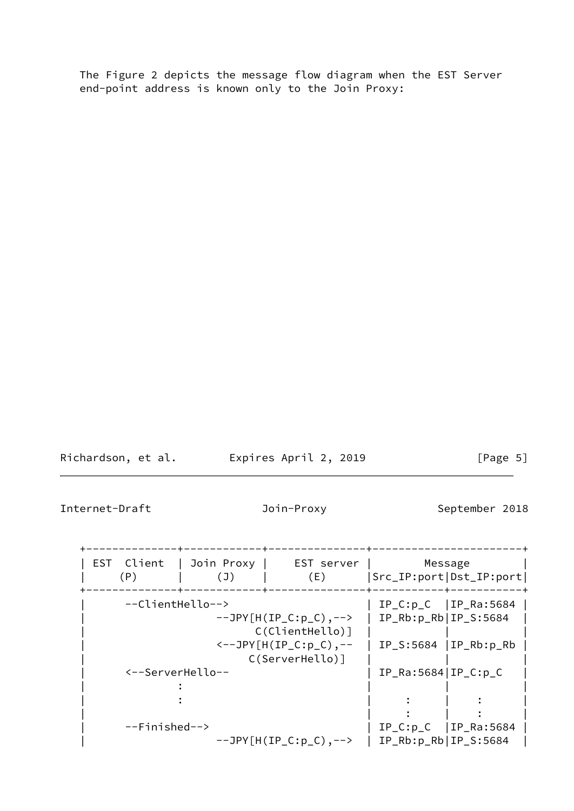The Figure 2 depicts the message flow diagram when the EST Server end-point address is known only to the Join Proxy:

Richardson, et al. Expires April 2, 2019 [Page 5]

 $\overline{\phantom{a}}$ 

<span id="page-5-0"></span>Internet-Draft **Internet-Draft** Join-Proxy September 2018

| EST Client<br>(P) | Join Proxy  <br>(J) | EST server<br>(E)                                      | Src_IP:port Dst_IP:port | Message                   |
|-------------------|---------------------|--------------------------------------------------------|-------------------------|---------------------------|
|                   | --ClientHello-->    |                                                        |                         | $IP_C: p_C   IP_Ra: 5684$ |
|                   |                     | $--JPY[H(IP_C:p_C),--\rangle$<br>$C(ClientHello)$ ]    | $IP_Rb:p_Rb IP_S:5684$  |                           |
|                   |                     | $\leftarrow$ -JPY[H(IP_C:p_C),--<br>$C(ServerHello)$ ] |                         | $IP_S:5684  IP_Rb:p_Rb$   |
|                   | <--ServerHello--    |                                                        | $IP_Ra:5684 IP_C:p_C$   |                           |
|                   |                     |                                                        |                         |                           |
|                   |                     |                                                        |                         |                           |
|                   |                     |                                                        |                         |                           |
| $--Finished-->$   |                     |                                                        |                         | $IP_C: p_C$   IP_Ra:5684  |
|                   |                     | $--JPY[H(IP_C:p_C), --\$                               | $IP_Rb:p_Rb IP_S:5684$  |                           |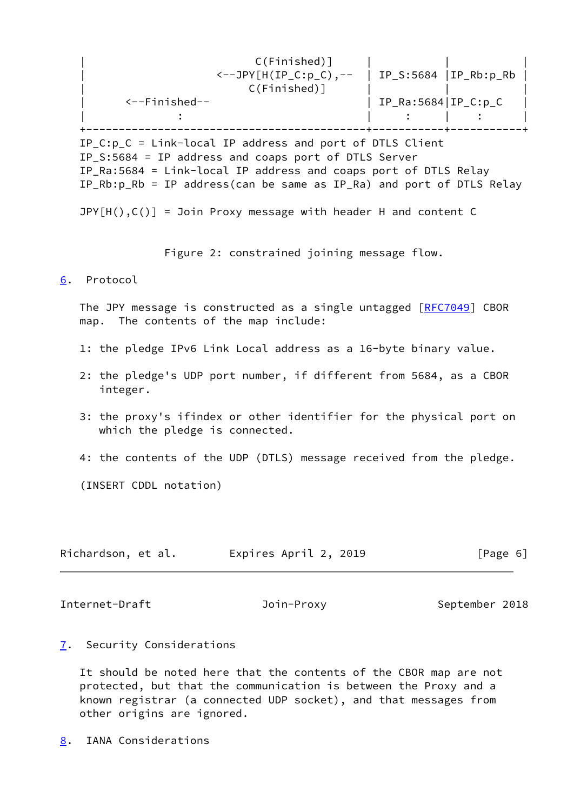| $C(Finished)$ ]<br>$\leftarrow$ -JPY[H(IP_C:p_C),-- |                        | $IP_S:5684  IP_Rb:p_Rb$ |  |
|-----------------------------------------------------|------------------------|-------------------------|--|
| $C(Finished)$ ]                                     |                        |                         |  |
| $\leftarrow$ -Finished--                            | $IP_Ra:5684 IP_C: p_C$ |                         |  |
|                                                     |                        |                         |  |
|                                                     |                        |                         |  |

IP C:p  $C =$  Link-local IP address and port of DTLS Client IP\_S:5684 = IP address and coaps port of DTLS Server IP\_Ra:5684 = Link-local IP address and coaps port of DTLS Relay IP\_Rb:p\_Rb = IP address(can be same as IP\_Ra) and port of DTLS Relay

 $JPY[H(),C()$  = Join Proxy message with header H and content C

Figure 2: constrained joining message flow.

## <span id="page-6-0"></span>[6](#page-6-0). Protocol

 The JPY message is constructed as a single untagged [\[RFC7049](https://datatracker.ietf.org/doc/pdf/rfc7049)] CBOR map. The contents of the map include:

- 1: the pledge IPv6 Link Local address as a 16-byte binary value.
- 2: the pledge's UDP port number, if different from 5684, as a CBOR integer.
- 3: the proxy's ifindex or other identifier for the physical port on which the pledge is connected.
- 4: the contents of the UDP (DTLS) message received from the pledge.

(INSERT CDDL notation)

| Richardson, et al. | Expires April 2, 2019 | [Page 6] |
|--------------------|-----------------------|----------|
|--------------------|-----------------------|----------|

<span id="page-6-2"></span>Internet-Draft **Internet-Draft** Join-Proxy September 2018

<span id="page-6-1"></span>[7](#page-6-1). Security Considerations

 It should be noted here that the contents of the CBOR map are not protected, but that the communication is between the Proxy and a known registrar (a connected UDP socket), and that messages from other origins are ignored.

<span id="page-6-3"></span>[8](#page-6-3). IANA Considerations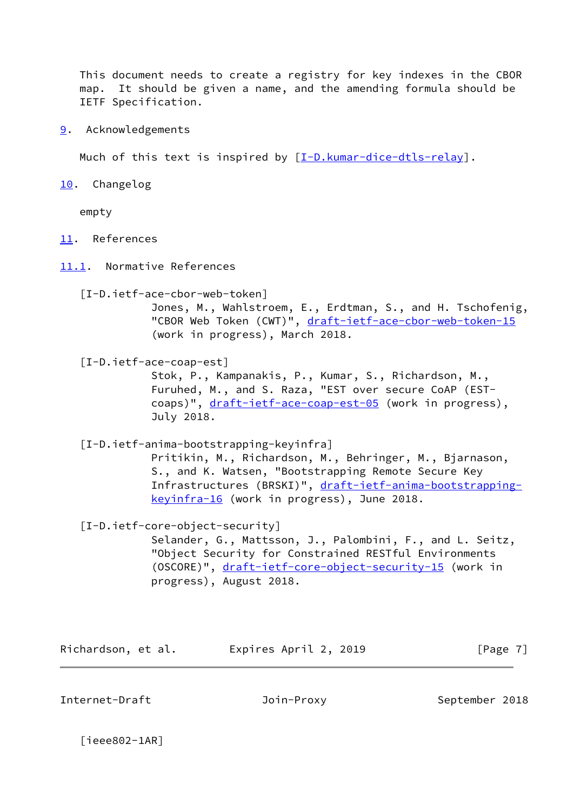This document needs to create a registry for key indexes in the CBOR map. It should be given a name, and the amending formula should be IETF Specification.

<span id="page-7-1"></span>[9](#page-7-1). Acknowledgements

Much of this text is inspired by  $[I-D.kumar-dice-dtls-relay]$ .

<span id="page-7-2"></span>[10.](#page-7-2) Changelog

empty

- <span id="page-7-3"></span>[11.](#page-7-3) References
- <span id="page-7-4"></span>[11.1](#page-7-4). Normative References

 [I-D.ietf-ace-cbor-web-token] Jones, M., Wahlstroem, E., Erdtman, S., and H. Tschofenig, "CBOR Web Token (CWT)", [draft-ietf-ace-cbor-web-token-15](https://datatracker.ietf.org/doc/pdf/draft-ietf-ace-cbor-web-token-15) (work in progress), March 2018.

<span id="page-7-6"></span>[I-D.ietf-ace-coap-est]

 Stok, P., Kampanakis, P., Kumar, S., Richardson, M., Furuhed, M., and S. Raza, "EST over secure CoAP (EST coaps)", [draft-ietf-ace-coap-est-05](https://datatracker.ietf.org/doc/pdf/draft-ietf-ace-coap-est-05) (work in progress), July 2018.

<span id="page-7-0"></span>[I-D.ietf-anima-bootstrapping-keyinfra]

 Pritikin, M., Richardson, M., Behringer, M., Bjarnason, S., and K. Watsen, "Bootstrapping Remote Secure Key Infrastructures (BRSKI)", [draft-ietf-anima-bootstrapping](https://datatracker.ietf.org/doc/pdf/draft-ietf-anima-bootstrapping-keyinfra-16) [keyinfra-16](https://datatracker.ietf.org/doc/pdf/draft-ietf-anima-bootstrapping-keyinfra-16) (work in progress), June 2018.

[I-D.ietf-core-object-security]

 Selander, G., Mattsson, J., Palombini, F., and L. Seitz, "Object Security for Constrained RESTful Environments (OSCORE)", [draft-ietf-core-object-security-15](https://datatracker.ietf.org/doc/pdf/draft-ietf-core-object-security-15) (work in progress), August 2018.

Richardson, et al. Expires April 2, 2019 [Page 7]

<span id="page-7-5"></span>Internet-Draft Join-Proxy September 2018

[ieee802-1AR]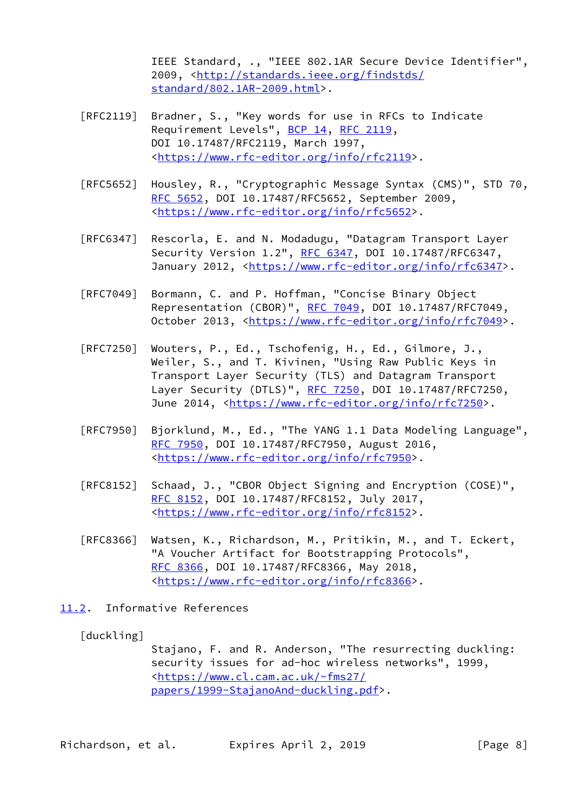IEEE Standard, ., "IEEE 802.1AR Secure Device Identifier", 2009, [<http://standards.ieee.org/findstds/](http://standards.ieee.org/findstds/standard/802.1AR-2009.html) [standard/802.1AR-2009.html>](http://standards.ieee.org/findstds/standard/802.1AR-2009.html).

- [RFC2119] Bradner, S., "Key words for use in RFCs to Indicate Requirement Levels", [BCP 14](https://datatracker.ietf.org/doc/pdf/bcp14), [RFC 2119](https://datatracker.ietf.org/doc/pdf/rfc2119), DOI 10.17487/RFC2119, March 1997, <[https://www.rfc-editor.org/info/rfc2119>](https://www.rfc-editor.org/info/rfc2119).
- [RFC5652] Housley, R., "Cryptographic Message Syntax (CMS)", STD 70, [RFC 5652,](https://datatracker.ietf.org/doc/pdf/rfc5652) DOI 10.17487/RFC5652, September 2009, <[https://www.rfc-editor.org/info/rfc5652>](https://www.rfc-editor.org/info/rfc5652).
- [RFC6347] Rescorla, E. and N. Modadugu, "Datagram Transport Layer Security Version 1.2", [RFC 6347](https://datatracker.ietf.org/doc/pdf/rfc6347), DOI 10.17487/RFC6347, January 2012, [<https://www.rfc-editor.org/info/rfc6347](https://www.rfc-editor.org/info/rfc6347)>.
- [RFC7049] Bormann, C. and P. Hoffman, "Concise Binary Object Representation (CBOR)", [RFC 7049,](https://datatracker.ietf.org/doc/pdf/rfc7049) DOI 10.17487/RFC7049, October 2013, [<https://www.rfc-editor.org/info/rfc7049](https://www.rfc-editor.org/info/rfc7049)>.
- [RFC7250] Wouters, P., Ed., Tschofenig, H., Ed., Gilmore, J., Weiler, S., and T. Kivinen, "Using Raw Public Keys in Transport Layer Security (TLS) and Datagram Transport Layer Security (DTLS)", [RFC 7250,](https://datatracker.ietf.org/doc/pdf/rfc7250) DOI 10.17487/RFC7250, June 2014, <<https://www.rfc-editor.org/info/rfc7250>>.
- [RFC7950] Bjorklund, M., Ed., "The YANG 1.1 Data Modeling Language", [RFC 7950,](https://datatracker.ietf.org/doc/pdf/rfc7950) DOI 10.17487/RFC7950, August 2016, <[https://www.rfc-editor.org/info/rfc7950>](https://www.rfc-editor.org/info/rfc7950).
- [RFC8152] Schaad, J., "CBOR Object Signing and Encryption (COSE)", [RFC 8152,](https://datatracker.ietf.org/doc/pdf/rfc8152) DOI 10.17487/RFC8152, July 2017, <[https://www.rfc-editor.org/info/rfc8152>](https://www.rfc-editor.org/info/rfc8152).
- [RFC8366] Watsen, K., Richardson, M., Pritikin, M., and T. Eckert, "A Voucher Artifact for Bootstrapping Protocols", [RFC 8366,](https://datatracker.ietf.org/doc/pdf/rfc8366) DOI 10.17487/RFC8366, May 2018, <[https://www.rfc-editor.org/info/rfc8366>](https://www.rfc-editor.org/info/rfc8366).
- <span id="page-8-0"></span>[11.2](#page-8-0). Informative References

## [duckling]

 Stajano, F. and R. Anderson, "The resurrecting duckling: security issues for ad-hoc wireless networks", 1999, <[https://www.cl.cam.ac.uk/~fms27/](https://www.cl.cam.ac.uk/~fms27/papers/1999-StajanoAnd-duckling.pdf) [papers/1999-StajanoAnd-duckling.pdf](https://www.cl.cam.ac.uk/~fms27/papers/1999-StajanoAnd-duckling.pdf)>.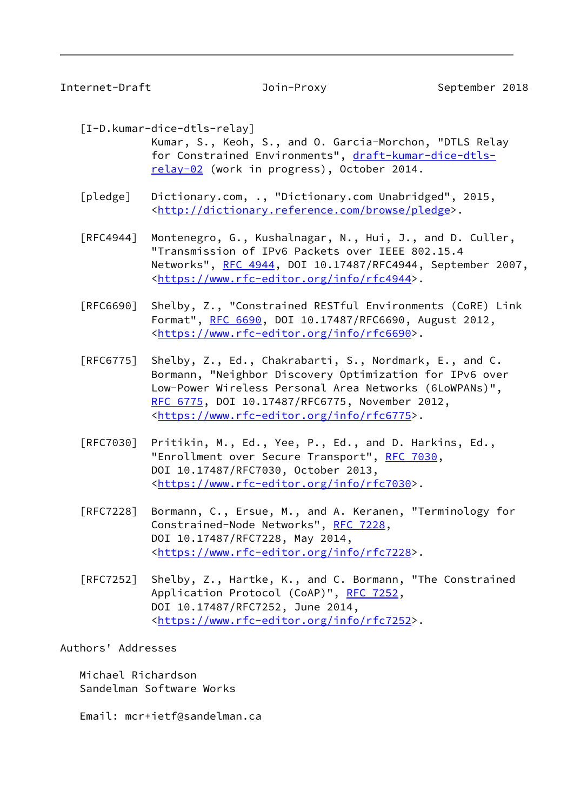<span id="page-9-0"></span>Internet-Draft Join-Proxy September 2018

<span id="page-9-1"></span>[I-D.kumar-dice-dtls-relay]

 Kumar, S., Keoh, S., and O. Garcia-Morchon, "DTLS Relay for Constrained Environments", [draft-kumar-dice-dtls](https://datatracker.ietf.org/doc/pdf/draft-kumar-dice-dtls-relay-02) [relay-02](https://datatracker.ietf.org/doc/pdf/draft-kumar-dice-dtls-relay-02) (work in progress), October 2014.

 [pledge] Dictionary.com, ., "Dictionary.com Unabridged", 2015, <[http://dictionary.reference.com/browse/pledge>](http://dictionary.reference.com/browse/pledge).

 [RFC4944] Montenegro, G., Kushalnagar, N., Hui, J., and D. Culler, "Transmission of IPv6 Packets over IEEE 802.15.4 Networks", [RFC 4944](https://datatracker.ietf.org/doc/pdf/rfc4944), DOI 10.17487/RFC4944, September 2007, <[https://www.rfc-editor.org/info/rfc4944>](https://www.rfc-editor.org/info/rfc4944).

 [RFC6690] Shelby, Z., "Constrained RESTful Environments (CoRE) Link Format", [RFC 6690,](https://datatracker.ietf.org/doc/pdf/rfc6690) DOI 10.17487/RFC6690, August 2012, <[https://www.rfc-editor.org/info/rfc6690>](https://www.rfc-editor.org/info/rfc6690).

- [RFC6775] Shelby, Z., Ed., Chakrabarti, S., Nordmark, E., and C. Bormann, "Neighbor Discovery Optimization for IPv6 over Low-Power Wireless Personal Area Networks (6LoWPANs)", [RFC 6775,](https://datatracker.ietf.org/doc/pdf/rfc6775) DOI 10.17487/RFC6775, November 2012, <[https://www.rfc-editor.org/info/rfc6775>](https://www.rfc-editor.org/info/rfc6775).
- [RFC7030] Pritikin, M., Ed., Yee, P., Ed., and D. Harkins, Ed., "Enrollment over Secure Transport", [RFC 7030,](https://datatracker.ietf.org/doc/pdf/rfc7030) DOI 10.17487/RFC7030, October 2013, <[https://www.rfc-editor.org/info/rfc7030>](https://www.rfc-editor.org/info/rfc7030).
- [RFC7228] Bormann, C., Ersue, M., and A. Keranen, "Terminology for Constrained-Node Networks", [RFC 7228,](https://datatracker.ietf.org/doc/pdf/rfc7228) DOI 10.17487/RFC7228, May 2014, <[https://www.rfc-editor.org/info/rfc7228>](https://www.rfc-editor.org/info/rfc7228).
- [RFC7252] Shelby, Z., Hartke, K., and C. Bormann, "The Constrained Application Protocol (CoAP)", [RFC 7252](https://datatracker.ietf.org/doc/pdf/rfc7252), DOI 10.17487/RFC7252, June 2014, <[https://www.rfc-editor.org/info/rfc7252>](https://www.rfc-editor.org/info/rfc7252).

Authors' Addresses

 Michael Richardson Sandelman Software Works

Email: mcr+ietf@sandelman.ca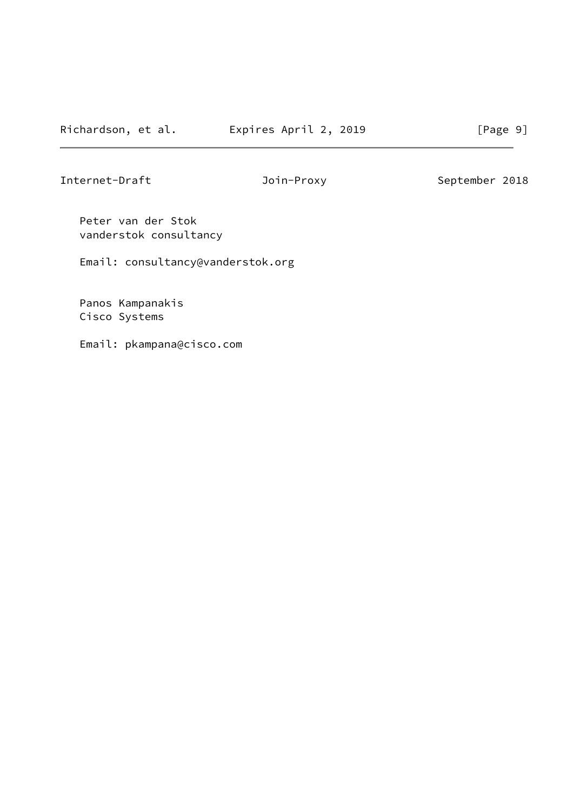Internet-Draft **Internet-Draft** Join-Proxy September 2018

 Peter van der Stok vanderstok consultancy

Email: consultancy@vanderstok.org

 Panos Kampanakis Cisco Systems

Email: pkampana@cisco.com